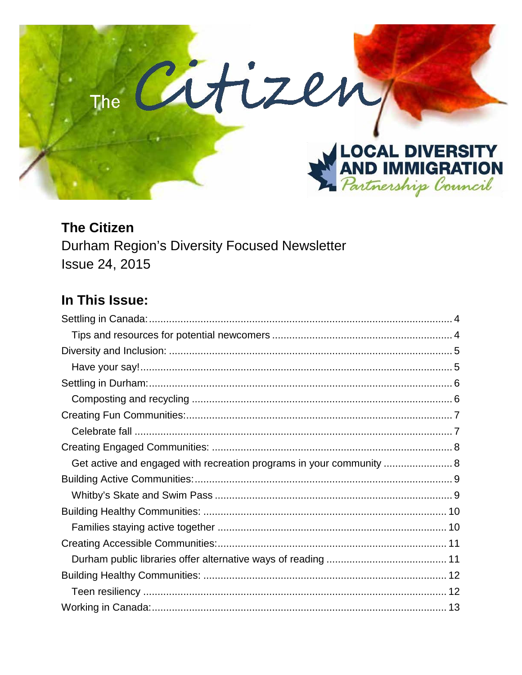

### **The Citizen**

Durham Region's Diversity Focused Newsletter **Issue 24, 2015** 

# In This Issue:

| Get active and engaged with recreation programs in your community  8 |  |
|----------------------------------------------------------------------|--|
|                                                                      |  |
|                                                                      |  |
|                                                                      |  |
|                                                                      |  |
|                                                                      |  |
|                                                                      |  |
|                                                                      |  |
|                                                                      |  |
|                                                                      |  |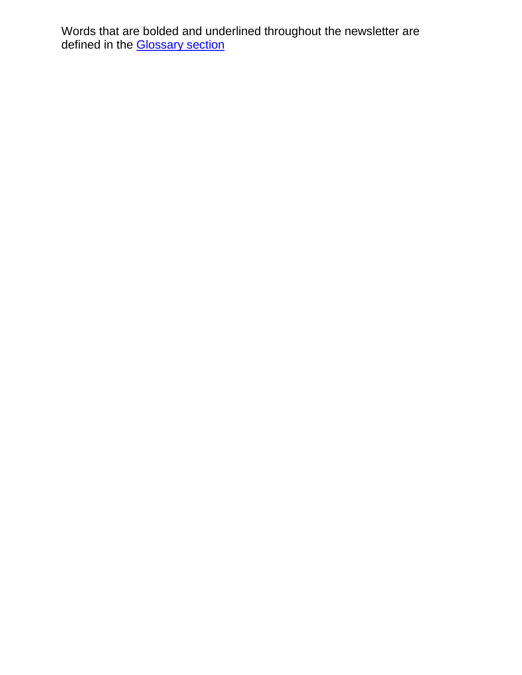Words that are bolded and underlined throughout the newsletter are defined in the <u>Glossary section</u>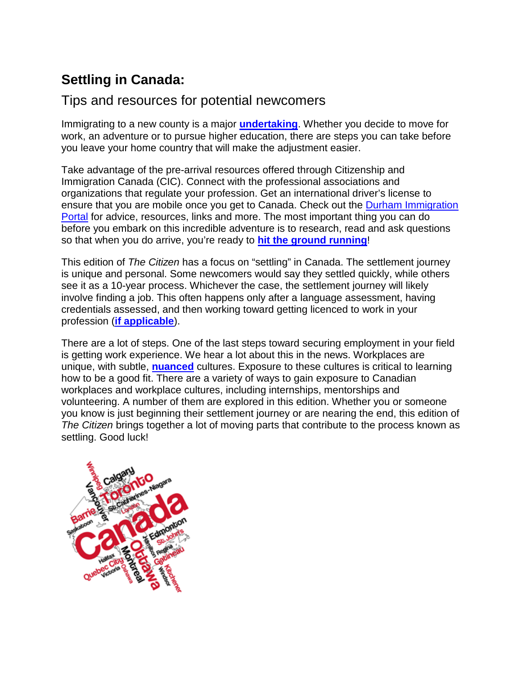# <span id="page-3-0"></span>**Settling in Canada:**

### <span id="page-3-1"></span>Tips and resources for potential newcomers

Immigrating to a new county is a major **[undertaking](#page-24-3)**. Whether you decide to move for work, an adventure or to pursue higher education, there are steps you can take before you leave your home country that will make the adjustment easier.

Take advantage of the pre-arrival resources offered through Citizenship and Immigration Canada (CIC). Connect with the professional associations and organizations that regulate your profession. Get an international driver's license to ensure that you are mobile once you get to Canada. Check out the [Durham Immigration](https://www.durhamimmigration.ca/Pages/home.aspx)  [Portal](https://www.durhamimmigration.ca/Pages/home.aspx) for advice, resources, links and more. The most important thing you can do before you embark on this incredible adventure is to research, read and ask questions so that when you do arrive, you're ready to **[hit the ground running](#page-23-6)**!

This edition of *The Citizen* has a focus on "settling" in Canada. The settlement journey is unique and personal. Some newcomers would say they settled quickly, while others see it as a 10-year process. Whichever the case, the settlement journey will likely involve finding a job. This often happens only after a language assessment, having credentials assessed, and then working toward getting licenced to work in your profession (**[if applicable](#page-23-8)**).

There are a lot of steps. One of the last steps toward securing employment in your field is getting work experience. We hear a lot about this in the news. Workplaces are unique, with subtle, **[nuanced](#page-24-0)** cultures. Exposure to these cultures is critical to learning how to be a good fit. There are a variety of ways to gain exposure to Canadian workplaces and workplace cultures, including internships, mentorships and volunteering. A number of them are explored in this edition. Whether you or someone you know is just beginning their settlement journey or are nearing the end, this edition of *The Citizen* brings together a lot of moving parts that contribute to the process known as settling. Good luck!

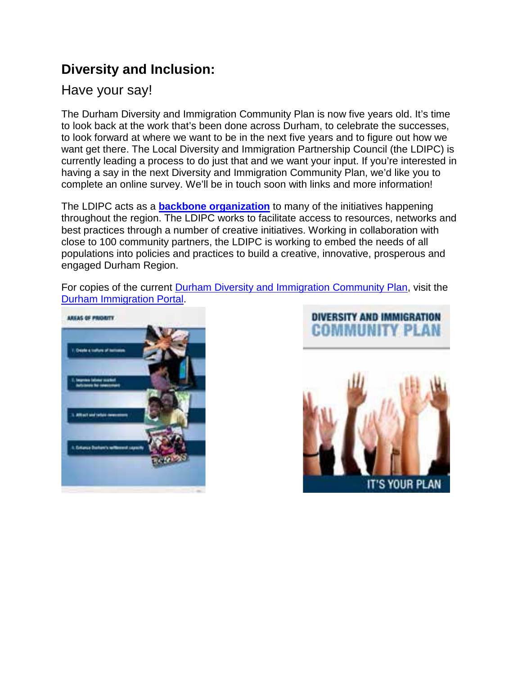# <span id="page-4-0"></span>**Diversity and Inclusion:**

### <span id="page-4-1"></span>Have your say!

The Durham Diversity and Immigration Community Plan is now five years old. It's time to look back at the work that's been done across Durham, to celebrate the successes, to look forward at where we want to be in the next five years and to figure out how we want get there. The Local Diversity and Immigration Partnership Council (the LDIPC) is currently leading a process to do just that and we want your input. If you're interested in having a say in the next Diversity and Immigration Community Plan, we'd like you to complete an online survey. We'll be in touch soon with links and more information!

The LDIPC acts as a **[backbone organization](#page-23-2)** to many of the initiatives happening throughout the region. The LDIPC works to facilitate access to resources, networks and best practices through a number of creative initiatives. Working in collaboration with close to 100 community partners, the LDIPC is working to embed the needs of all populations into policies and practices to build a creative, innovative, prosperous and engaged Durham Region.

For copies of the current [Durham Diversity and Immigration Community Plan,](https://www.durhamimmigration.ca/about/community_plan/Pages/default.aspx) visit the [Durham Immigration Portal.](https://www.durhamimmigration.ca/about/community_plan/Pages/default.aspx)





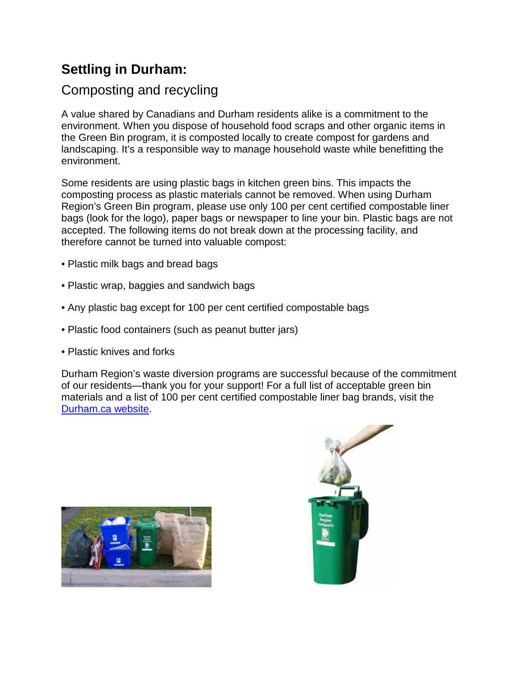# <span id="page-5-0"></span>**Settling in Durham:**

### <span id="page-5-1"></span>Composting and recycling

A value shared by Canadians and Durham residents alike is a commitment to the environment. When you dispose of household food scraps and other organic items in the Green Bin program, it is composted locally to create compost for gardens and landscaping. It's a responsible way to manage household waste while benefitting the environment.

Some residents are using plastic bags in kitchen green bins. This impacts the composting process as plastic materials cannot be removed. When using Durham Region's Green Bin program, please use only 100 per cent certified compostable liner bags (look for the logo), paper bags or newspaper to line your bin. Plastic bags are not accepted. The following items do not break down at the processing facility, and therefore cannot be turned into valuable compost:

- Plastic milk bags and bread bags
- Plastic wrap, baggies and sandwich bags
- Any plastic bag except for 100 per cent certified compostable bags
- Plastic food containers (such as peanut butter jars)
- Plastic knives and forks

Durham Region's waste diversion programs are successful because of the commitment of our residents—thank you for your support! For a full list of acceptable green bin materials and a list of 100 per cent certified compostable liner bag brands, visit the [Durham.ca website.](http://www.durham.ca/greenbin)



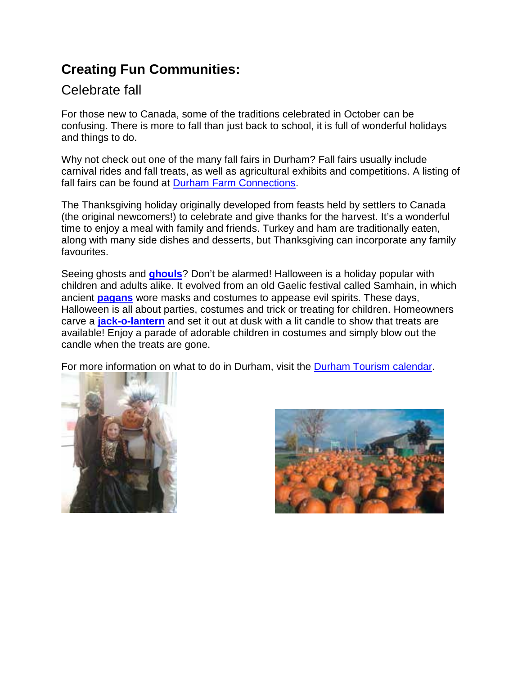# <span id="page-6-0"></span>**Creating Fun Communities:**

### <span id="page-6-1"></span>Celebrate fall

For those new to Canada, some of the traditions celebrated in October can be confusing. There is more to fall than just back to school, it is full of wonderful holidays and things to do.

Why not check out one of the many fall fairs in Durham? Fall fairs usually include carnival rides and fall treats, as well as agricultural exhibits and competitions. A listing of fall fairs can be found at [Durham Farm Connections.](http://durhamfarmconnections.ca/)

The Thanksgiving holiday originally developed from feasts held by settlers to Canada (the original newcomers!) to celebrate and give thanks for the harvest. It's a wonderful time to enjoy a meal with family and friends. Turkey and ham are traditionally eaten, along with many side dishes and desserts, but Thanksgiving can incorporate any family favourites.

Seeing ghosts and **[ghouls](#page-23-5)**? Don't be alarmed! Halloween is a holiday popular with children and adults alike. It evolved from an old Gaelic festival called Samhain, in which ancient **[pagans](#page-24-1)** wore masks and costumes to appease evil spirits. These days, Halloween is all about parties, costumes and trick or treating for children. Homeowners carve a **[jack-o-lantern](#page-23-9)** and set it out at dusk with a lit candle to show that treats are available! Enjoy a parade of adorable children in costumes and simply blow out the candle when the treats are gone.

For more information on what to do in Durham, visit the **Durham Tourism calendar**.



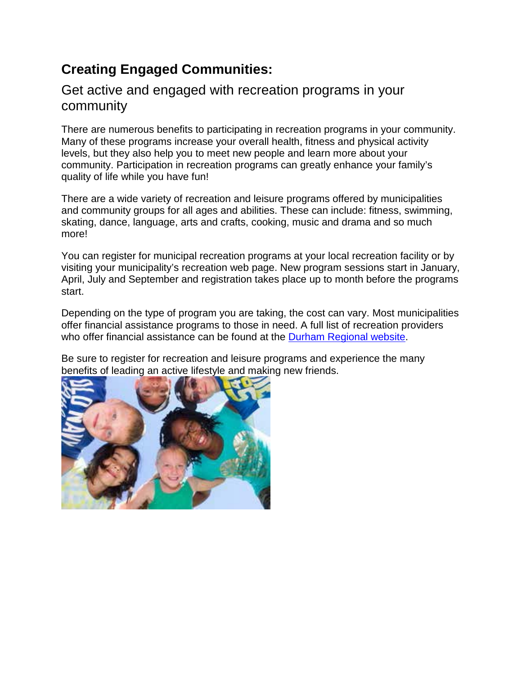# <span id="page-7-0"></span>**Creating Engaged Communities:**

#### <span id="page-7-1"></span>Get active and engaged with recreation programs in your community

There are numerous benefits to participating in recreation programs in your community. Many of these programs increase your overall health, fitness and physical activity levels, but they also help you to meet new people and learn more about your community. Participation in recreation programs can greatly enhance your family's quality of life while you have fun!

There are a wide variety of recreation and leisure programs offered by municipalities and community groups for all ages and abilities. These can include: fitness, swimming, skating, dance, language, arts and crafts, cooking, music and drama and so much more!

You can register for municipal recreation programs at your local recreation facility or by visiting your municipality's recreation web page. New program sessions start in January, April, July and September and registration takes place up to month before the programs start.

Depending on the type of program you are taking, the cost can vary. Most municipalities offer financial assistance programs to those in need. A full list of recreation providers who offer financial assistance can be found at the [Durham Regional website.](http://www.durham.ca/health.asp?nr=/departments/health/physical_activity/aaard.htm&setFooter=/includes/health/paFooter.inc)

Be sure to register for recreation and leisure programs and experience the many benefits of leading an active lifestyle and making new friends.

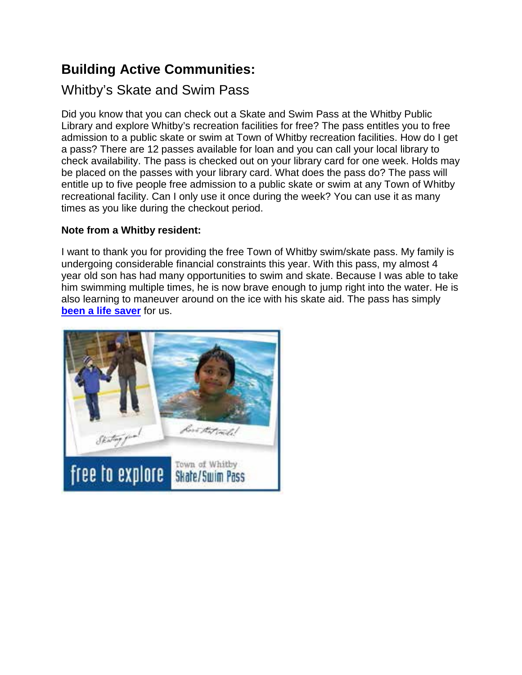# <span id="page-8-0"></span>**Building Active Communities:**

### <span id="page-8-1"></span>Whitby's Skate and Swim Pass

Did you know that you can check out a Skate and Swim Pass at the Whitby Public Library and explore Whitby's recreation facilities for free? The pass entitles you to free admission to a public skate or swim at Town of Whitby recreation facilities. How do I get a pass? There are 12 passes available for loan and you can call your local library to check availability. The pass is checked out on your library card for one week. Holds may be placed on the passes with your library card. What does the pass do? The pass will entitle up to five people free admission to a public skate or swim at any Town of Whitby recreational facility. Can I only use it once during the week? You can use it as many times as you like during the checkout period.

#### **Note from a Whitby resident:**

I want to thank you for providing the free Town of Whitby swim/skate pass. My family is undergoing considerable financial constraints this year. With this pass, my almost 4 year old son has had many opportunities to swim and skate. Because I was able to take him swimming multiple times, he is now brave enough to jump right into the water. He is also learning to maneuver around on the ice with his skate aid. The pass has simply **[been a life saver](#page-23-3)** for us.

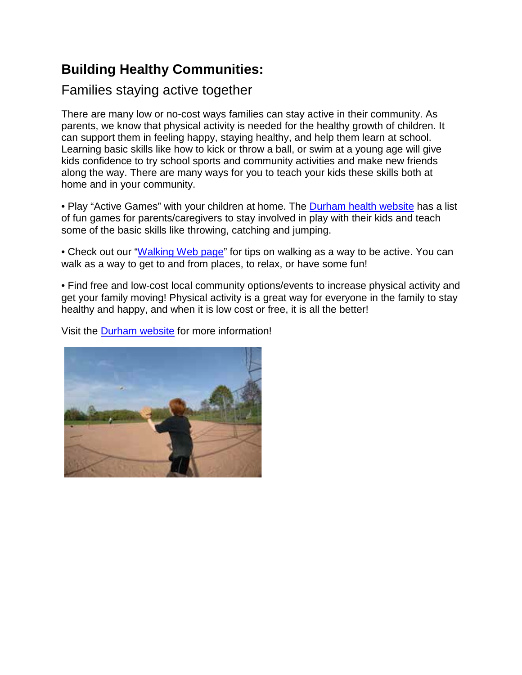# <span id="page-9-0"></span>**Building Healthy Communities:**

### <span id="page-9-1"></span>Families staying active together

There are many low or no-cost ways families can stay active in their community. As parents, we know that physical activity is needed for the healthy growth of children. It can support them in feeling happy, staying healthy, and help them learn at school. Learning basic skills like how to kick or throw a ball, or swim at a young age will give kids confidence to try school sports and community activities and make new friends along the way. There are many ways for you to teach your kids these skills both at home and in your community.

• Play "Active Games" with your children at home. The [Durham health website](http://www.durham.ca/health.asp?nr=/departments/health/physical_activity/activegames.htm&setFooter=/includes/health/paFooter.inc) has a list of fun games for parents/caregivers to stay involved in play with their kids and teach some of the basic skills like throwing, catching and jumping.

• Check out our "*Walking Web page*" for tips on walking as a way to be active. You can walk as a way to get to and from places, to relax, or have some fun!

• Find free and low-cost local community options/events to increase physical activity and get your family moving! Physical activity is a great way for everyone in the family to stay healthy and happy, and when it is low cost or free, it is all the better!

Visit the [Durham website](http://www.durham.ca/health.asp?nr=/departments/health/physical_activity/index.htm&setFooter=/includes/health/paFooter.inc) for more information!

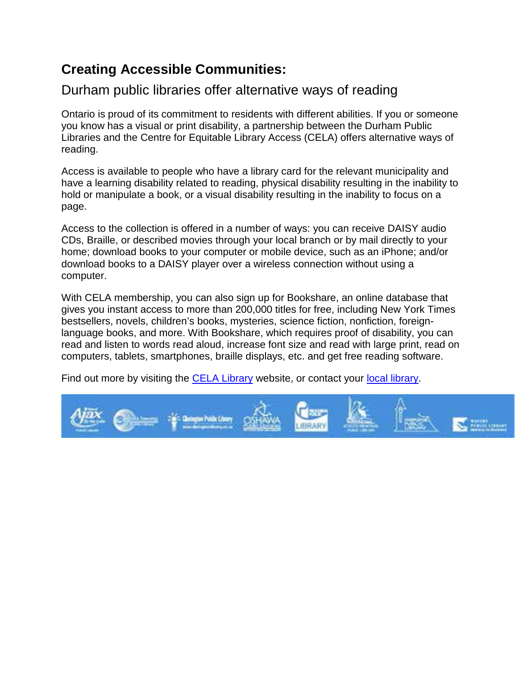# <span id="page-10-0"></span>**Creating Accessible Communities:**

### <span id="page-10-1"></span>Durham public libraries offer alternative ways of reading

Ontario is proud of its commitment to residents with different abilities. If you or someone you know has a visual or print disability, a partnership between the Durham Public Libraries and the Centre for Equitable Library Access (CELA) offers alternative ways of reading.

Access is available to people who have a library card for the relevant municipality and have a learning disability related to reading, physical disability resulting in the inability to hold or manipulate a book, or a visual disability resulting in the inability to focus on a page.

Access to the collection is offered in a number of ways: you can receive DAISY audio CDs, Braille, or described movies through your local branch or by mail directly to your home; download books to your computer or mobile device, such as an iPhone; and/or download books to a DAISY player over a wireless connection without using a computer.

With CELA membership, you can also sign up for Bookshare, an online database that gives you instant access to more than 200,000 titles for free, including New York Times bestsellers, novels, children's books, mysteries, science fiction, nonfiction, foreignlanguage books, and more. With Bookshare, which requires proof of disability, you can read and listen to words read aloud, increase font size and read with large print, read on computers, tablets, smartphones, braille displays, etc. and get free reading software.

Find out more by visiting the [CELA Library](http://iguana.celalibrary.ca/iguana/www.main.cls?surl=CELA-home&lang=eng&theme=reset) website, or contact your [local library.](https://www.durhamimmigration.ca/learning/Pages/LibraryPrograms.aspx)

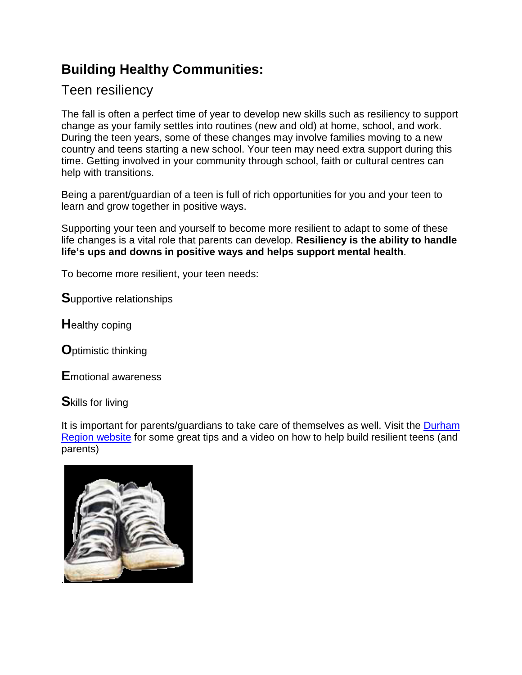# <span id="page-11-0"></span>**Building Healthy Communities:**

### <span id="page-11-1"></span>Teen resiliency

The fall is often a perfect time of year to develop new skills such as resiliency to support change as your family settles into routines (new and old) at home, school, and work. During the teen years, some of these changes may involve families moving to a new country and teens starting a new school. Your teen may need extra support during this time. Getting involved in your community through school, faith or cultural centres can help with transitions.

Being a parent/guardian of a teen is full of rich opportunities for you and your teen to learn and grow together in positive ways.

Supporting your teen and yourself to become more resilient to adapt to some of these life changes is a vital role that parents can develop. **Resiliency is the ability to handle life's ups and downs in positive ways and helps support mental health**.

To become more resilient, your teen needs:

**S**upportive relationships

**H**ealthy coping

**O**ptimistic thinking

**E**motional awareness

**S**kills for living

It is important for parents/guardians to take care of themselves as well. Visit the [Durham](http://www.durham.ca/health.asp?nr=/departments/health/mentalHealth/teenscan/index.htm&setFooter=/includes/health/healthFooterTeensCan.inc)  [Region website](http://www.durham.ca/health.asp?nr=/departments/health/mentalHealth/teenscan/index.htm&setFooter=/includes/health/healthFooterTeensCan.inc) for some great tips and a video on how to help build resilient teens (and parents)

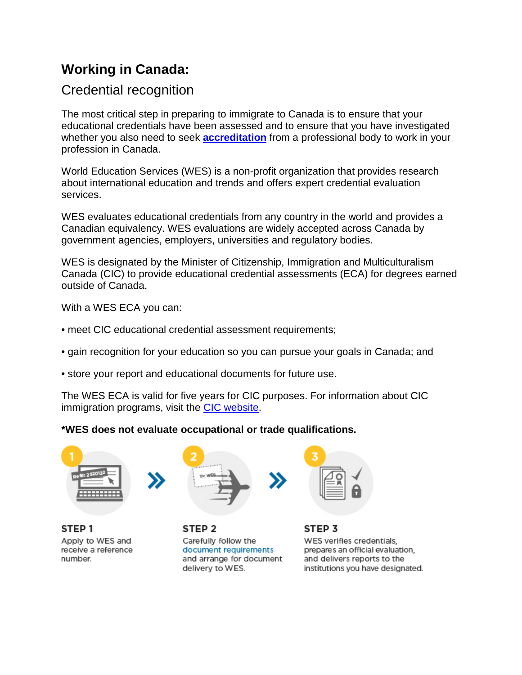# <span id="page-12-0"></span>**Working in Canada:**

### <span id="page-12-1"></span>Credential recognition

The most critical step in preparing to immigrate to Canada is to ensure that your educational credentials have been assessed and to ensure that you have investigated whether you also need to seek **[accreditation](#page-23-1)** from a professional body to work in your profession in Canada.

World Education Services (WES) is a non-profit organization that provides research about international education and trends and offers expert credential evaluation services.

WES evaluates educational credentials from any country in the world and provides a Canadian equivalency. WES evaluations are widely accepted across Canada by government agencies, employers, universities and regulatory bodies.

WES is designated by the Minister of Citizenship, Immigration and Multiculturalism Canada (CIC) to provide educational credential assessments (ECA) for degrees earned outside of Canada.

With a WES ECA you can:

- meet CIC educational credential assessment requirements;
- gain recognition for your education so you can pursue your goals in Canada; and
- store your report and educational documents for future use.

The WES ECA is valid for five years for CIC purposes. For information about CIC immigration programs, visit the [CIC website.](http://www.cic.gc.ca/)

#### **\*WES does not evaluate occupational or trade qualifications.**



STEP<sub>1</sub> Apply to WES and receive a reference number.



STEP<sub>2</sub> Carefully follow the document requirements and arrange for document delivery to WES.



STEP<sub>3</sub> WES verifies credentials, prepares an official evaluation, and delivers reports to the institutions you have designated.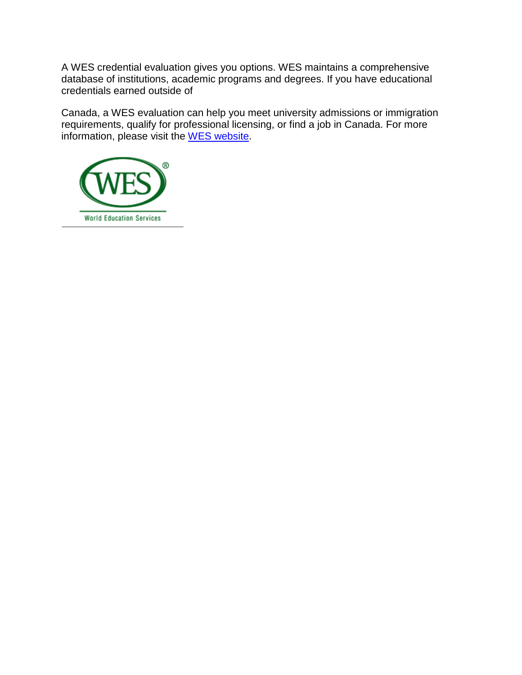A WES credential evaluation gives you options. WES maintains a comprehensive database of institutions, academic programs and degrees. If you have educational credentials earned outside of

Canada, a WES evaluation can help you meet university admissions or immigration requirements, qualify for professional licensing, or find a job in Canada. For more information, please visit the [WES website.](http://www.wes.org/)

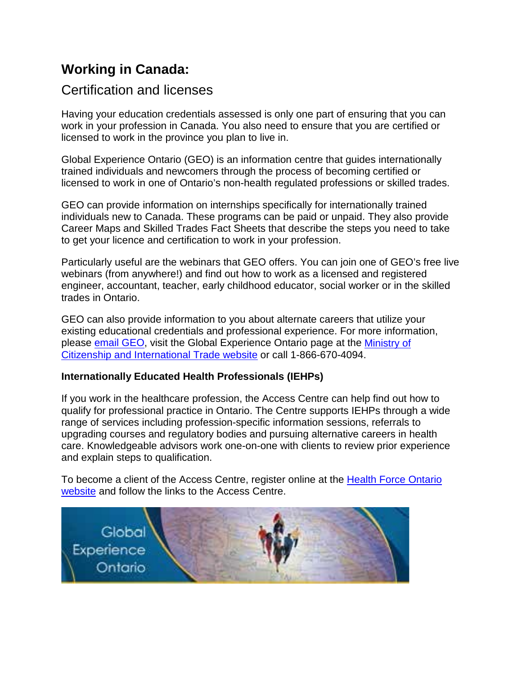## <span id="page-14-0"></span>**Working in Canada:**

### <span id="page-14-1"></span>Certification and licenses

Having your education credentials assessed is only one part of ensuring that you can work in your profession in Canada. You also need to ensure that you are certified or licensed to work in the province you plan to live in.

Global Experience Ontario (GEO) is an information centre that guides internationally trained individuals and newcomers through the process of becoming certified or licensed to work in one of Ontario's non-health regulated professions or skilled trades.

GEO can provide information on internships specifically for internationally trained individuals new to Canada. These programs can be paid or unpaid. They also provide Career Maps and Skilled Trades Fact Sheets that describe the steps you need to take to get your licence and certification to work in your profession.

Particularly useful are the webinars that GEO offers. You can join one of GEO's free live webinars (from anywhere!) and find out how to work as a licensed and registered engineer, accountant, teacher, early childhood educator, social worker or in the skilled trades in Ontario.

GEO can also provide information to you about alternate careers that utilize your existing educational credentials and professional experience. For more information, please [email GEO,](mailto:GEO@ontario.ca) visit the Global Experience Ontario page at the [Ministry of](http://www.citizenship.gov.on.ca/)  Citizenship and [International Trade website](http://www.citizenship.gov.on.ca/) or call 1-866-670-4094.

#### **Internationally Educated Health Professionals (IEHPs)**

If you work in the healthcare profession, the Access Centre can help find out how to qualify for professional practice in Ontario. The Centre supports IEHPs through a wide range of services including profession-specific information sessions, referrals to upgrading courses and regulatory bodies and pursuing alternative careers in health care. Knowledgeable advisors work one-on-one with clients to review prior experience and explain steps to qualification.

To become a client of the Access Centre, register online at the [Health Force Ontario](http://www.healthforceontario.ca/en/Home)  [website](http://www.healthforceontario.ca/en/Home) and follow the links to the Access Centre.

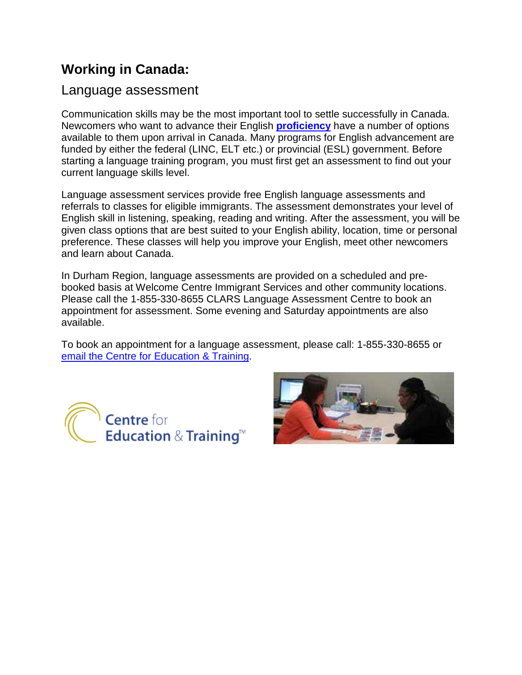# <span id="page-15-0"></span>**Working in Canada:**

#### <span id="page-15-1"></span>Language assessment

Communication skills may be the most important tool to settle successfully in Canada. Newcomers who want to advance their English **[proficiency](#page-24-2)** have a number of options available to them upon arrival in Canada. Many programs for English advancement are funded by either the federal (LINC, ELT etc.) or provincial (ESL) government. Before starting a language training program, you must first get an assessment to find out your current language skills level.

Language assessment services provide free English language assessments and referrals to classes for eligible immigrants. The assessment demonstrates your level of English skill in listening, speaking, reading and writing. After the assessment, you will be given class options that are best suited to your English ability, location, time or personal preference. These classes will help you improve your English, meet other newcomers and learn about Canada.

In Durham Region, language assessments are provided on a scheduled and prebooked basis at Welcome Centre Immigrant Services and other community locations. Please call the 1-855-330-8655 CLARS Language Assessment Centre to book an appointment for assessment. Some evening and Saturday appointments are also available.

To book an appointment for a language assessment, please call: 1-855-330-8655 or [email the Centre for Education & Training.](mailto:ysla@tcet.com)



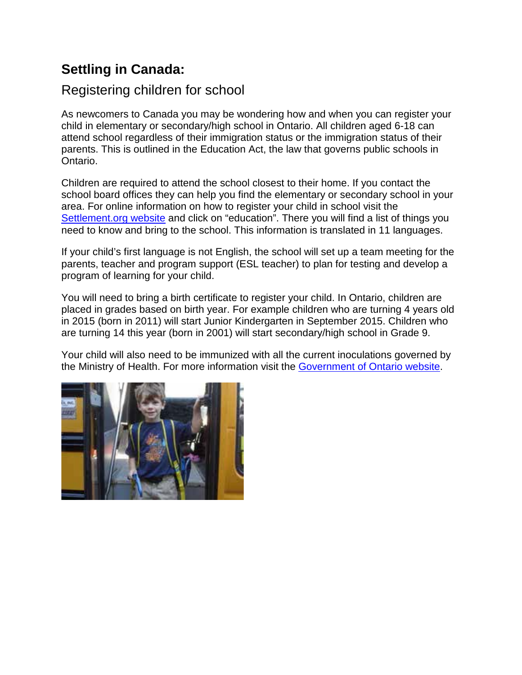# <span id="page-16-0"></span>**Settling in Canada:**

### <span id="page-16-1"></span>Registering children for school

As newcomers to Canada you may be wondering how and when you can register your child in elementary or secondary/high school in Ontario. All children aged 6-18 can attend school regardless of their immigration status or the immigration status of their parents. This is outlined in the Education Act, the law that governs public schools in Ontario.

Children are required to attend the school closest to their home. If you contact the school board offices they can help you find the elementary or secondary school in your area. For online information on how to register your child in school visit the [Settlement.org website](http://settlement.org/) and click on "education". There you will find a list of things you need to know and bring to the school. This information is translated in 11 languages.

If your child's first language is not English, the school will set up a team meeting for the parents, teacher and program support (ESL teacher) to plan for testing and develop a program of learning for your child.

You will need to bring a birth certificate to register your child. In Ontario, children are placed in grades based on birth year. For example children who are turning 4 years old in 2015 (born in 2011) will start Junior Kindergarten in September 2015. Children who are turning 14 this year (born in 2001) will start secondary/high school in Grade 9.

Your child will also need to be immunized with all the current inoculations governed by the Ministry of Health. For more information visit the [Government of Ontario website.](http://www.health.gov.on.ca/en/public/programs/immunization/)

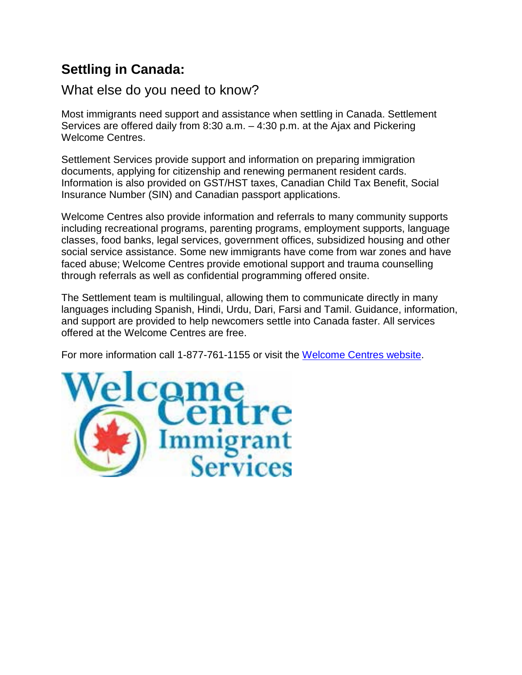# <span id="page-17-0"></span>**Settling in Canada:**

### <span id="page-17-1"></span>What else do you need to know?

Most immigrants need support and assistance when settling in Canada. Settlement Services are offered daily from 8:30 a.m. – 4:30 p.m. at the Ajax and Pickering Welcome Centres.

Settlement Services provide support and information on preparing immigration documents, applying for citizenship and renewing permanent resident cards. Information is also provided on GST/HST taxes, Canadian Child Tax Benefit, Social Insurance Number (SIN) and Canadian passport applications.

Welcome Centres also provide information and referrals to many community supports including recreational programs, parenting programs, employment supports, language classes, food banks, legal services, government offices, subsidized housing and other social service assistance. Some new immigrants have come from war zones and have faced abuse; Welcome Centres provide emotional support and trauma counselling through referrals as well as confidential programming offered onsite.

The Settlement team is multilingual, allowing them to communicate directly in many languages including Spanish, Hindi, Urdu, Dari, Farsi and Tamil. Guidance, information, and support are provided to help newcomers settle into Canada faster. All services offered at the Welcome Centres are free.

For more information call 1-877-761-1155 or visit the [Welcome Centres website.](http://www.welcomecentres.ca/)

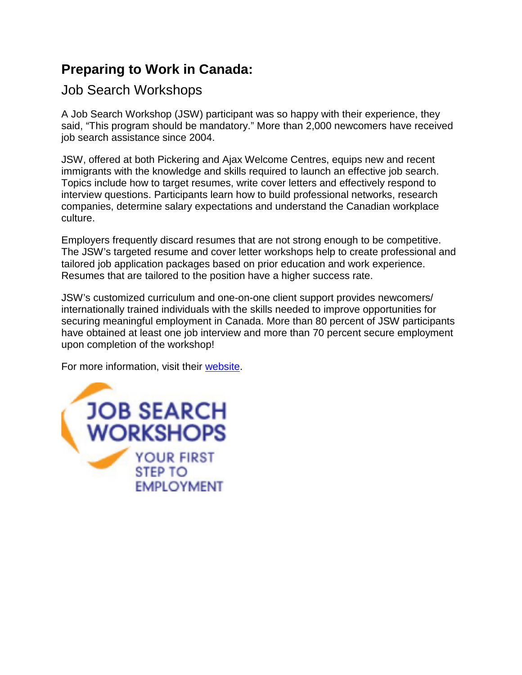# <span id="page-18-0"></span>**Preparing to Work in Canada:**

### <span id="page-18-1"></span>Job Search Workshops

A Job Search Workshop (JSW) participant was so happy with their experience, they said, "This program should be mandatory." More than 2,000 newcomers have received job search assistance since 2004.

JSW, offered at both Pickering and Ajax Welcome Centres, equips new and recent immigrants with the knowledge and skills required to launch an effective job search. Topics include how to target resumes, write cover letters and effectively respond to interview questions. Participants learn how to build professional networks, research companies, determine salary expectations and understand the Canadian workplace culture.

Employers frequently discard resumes that are not strong enough to be competitive. The JSW's targeted resume and cover letter workshops help to create professional and tailored job application packages based on prior education and work experience. Resumes that are tailored to the position have a higher success rate.

JSW's customized curriculum and one-on-one client support provides newcomers/ internationally trained individuals with the skills needed to improve opportunities for securing meaningful employment in Canada. More than 80 percent of JSW participants have obtained at least one job interview and more than 70 percent secure employment upon completion of the workshop!

For more information, visit their [website.](http://www.unemployedhelp.on.ca/clientjobworkshop.html)

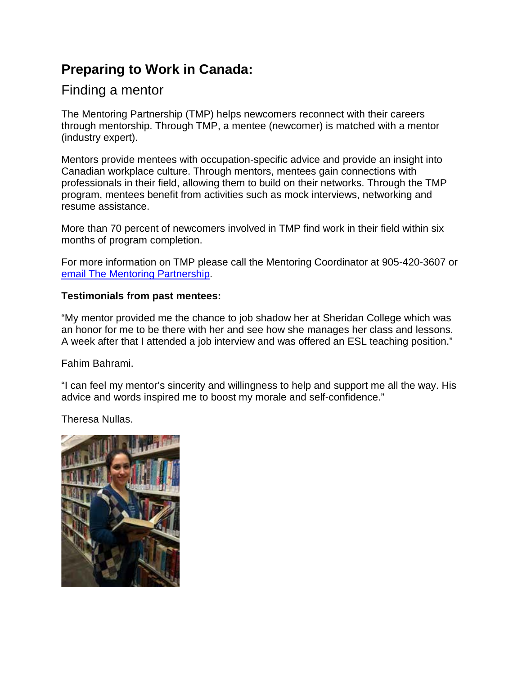# <span id="page-19-0"></span>**Preparing to Work in Canada:**

### <span id="page-19-1"></span>Finding a mentor

The Mentoring Partnership (TMP) helps newcomers reconnect with their careers through mentorship. Through TMP, a mentee (newcomer) is matched with a mentor (industry expert).

Mentors provide mentees with occupation-specific advice and provide an insight into Canadian workplace culture. Through mentors, mentees gain connections with professionals in their field, allowing them to build on their networks. Through the TMP program, mentees benefit from activities such as mock interviews, networking and resume assistance.

More than 70 percent of newcomers involved in TMP find work in their field within six months of program completion.

For more information on TMP please call the Mentoring Coordinator at 905-420-3607 or [email The Mentoring Partnership.](mailto:mentorship@unemployedhelp.on.ca)

#### **Testimonials from past mentees:**

"My mentor provided me the chance to job shadow her at Sheridan College which was an honor for me to be there with her and see how she manages her class and lessons. A week after that I attended a job interview and was offered an ESL teaching position."

Fahim Bahrami.

"I can feel my mentor's sincerity and willingness to help and support me all the way. His advice and words inspired me to boost my morale and self-confidence."

Theresa Nullas.

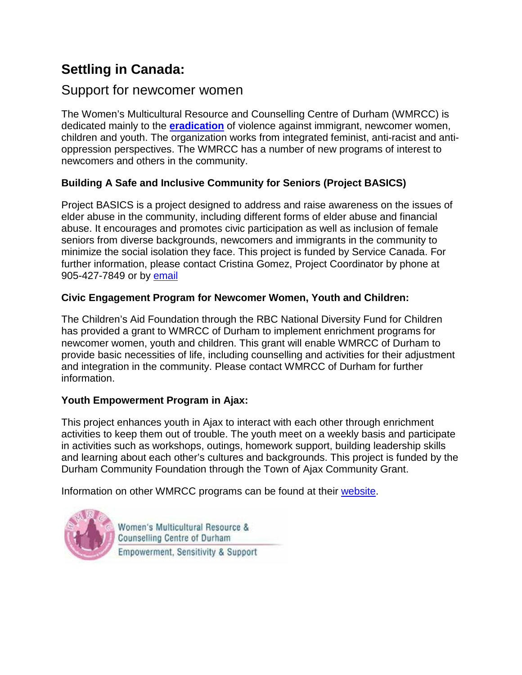# <span id="page-20-0"></span>**Settling in Canada:**

### <span id="page-20-1"></span>Support for newcomer women

The Women's Multicultural Resource and Counselling Centre of Durham (WMRCC) is dedicated mainly to the **[eradication](#page-23-4)** of violence against immigrant, newcomer women, children and youth. The organization works from integrated feminist, anti-racist and antioppression perspectives. The WMRCC has a number of new programs of interest to newcomers and others in the community.

#### **Building A Safe and Inclusive Community for Seniors (Project BASICS)**

Project BASICS is a project designed to address and raise awareness on the issues of elder abuse in the community, including different forms of elder abuse and financial abuse. It encourages and promotes civic participation as well as inclusion of female seniors from diverse backgrounds, newcomers and immigrants in the community to minimize the social isolation they face. This project is funded by Service Canada. For further information, please contact Cristina Gomez, Project Coordinator by phone at 905-427-7849 or by [email](mailto:cristina.gomez@wmrccdurham.org)

#### **Civic Engagement Program for Newcomer Women, Youth and Children:**

The Children's Aid Foundation through the RBC National Diversity Fund for Children has provided a grant to WMRCC of Durham to implement enrichment programs for newcomer women, youth and children. This grant will enable WMRCC of Durham to provide basic necessities of life, including counselling and activities for their adjustment and integration in the community. Please contact WMRCC of Durham for further information.

#### **Youth Empowerment Program in Ajax:**

This project enhances youth in Ajax to interact with each other through enrichment activities to keep them out of trouble. The youth meet on a weekly basis and participate in activities such as workshops, outings, homework support, building leadership skills and learning about each other's cultures and backgrounds. This project is funded by the Durham Community Foundation through the Town of Ajax Community Grant.

Information on other WMRCC programs can be found at their [website.](http://www.wmrccdurham.org/)



Women's Multicultural Resource & **Counselling Centre of Durham** Empowerment, Sensitivity & Support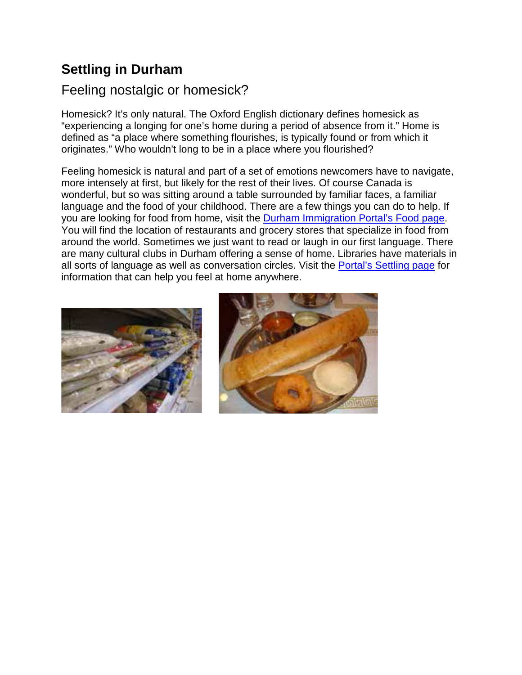## <span id="page-21-0"></span>**Settling in Durham**

### <span id="page-21-1"></span>Feeling nostalgic or homesick?

Homesick? It's only natural. The Oxford English dictionary defines homesick as "experiencing a longing for one's home during a period of absence from it." Home is defined as "a place where something flourishes, is typically found or from which it originates." Who wouldn't long to be in a place where you flourished?

Feeling homesick is natural and part of a set of emotions newcomers have to navigate, more intensely at first, but likely for the rest of their lives. Of course Canada is wonderful, but so was sitting around a table surrounded by familiar faces, a familiar language and the food of your childhood. There are a few things you can do to help. If you are looking for food from home, visit the **Durham Immigration Portal's Food page**. You will find the location of restaurants and grocery stores that specialize in food from around the world. Sometimes we just want to read or laugh in our first language. There are many cultural clubs in Durham offering a sense of home. Libraries have materials in all sorts of language as well as conversation circles. Visit the **Portal's Settling page** for information that can help you feel at home anywhere.



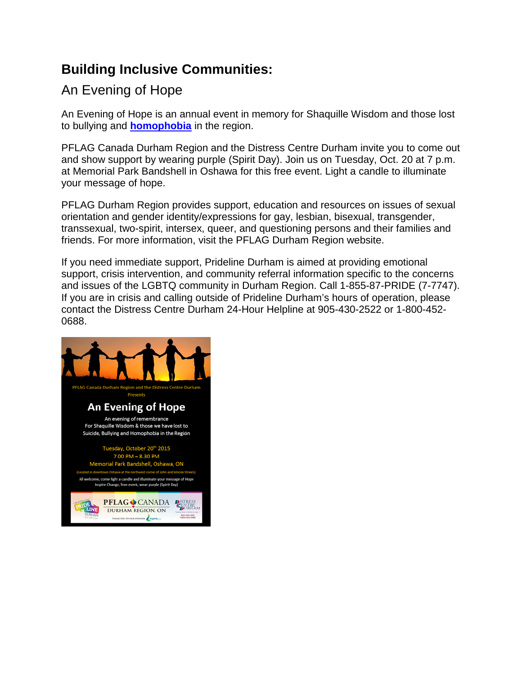## <span id="page-22-0"></span>**Building Inclusive Communities:**

### <span id="page-22-1"></span>An Evening of Hope

An Evening of Hope is an annual event in memory for Shaquille Wisdom and those lost to bullying and **[homophobia](#page-23-7)** in the region.

PFLAG Canada Durham Region and the Distress Centre Durham invite you to come out and show support by wearing purple (Spirit Day). Join us on Tuesday, Oct. 20 at 7 p.m. at Memorial Park Bandshell in Oshawa for this free event. Light a candle to illuminate your message of hope.

PFLAG Durham Region provides support, education and resources on issues of sexual orientation and gender identity/expressions for gay, lesbian, bisexual, transgender, transsexual, two-spirit, intersex, queer, and questioning persons and their families and friends. For more information, visit the PFLAG Durham Region website.

If you need immediate support, Prideline Durham is aimed at providing emotional support, crisis intervention, and community referral information specific to the concerns and issues of the LGBTQ community in Durham Region. Call 1-855-87-PRIDE (7-7747). If you are in crisis and calling outside of Prideline Durham's hours of operation, please contact the Distress Centre Durham 24-Hour Helpline at 905-430-2522 or 1-800-452- 0688.

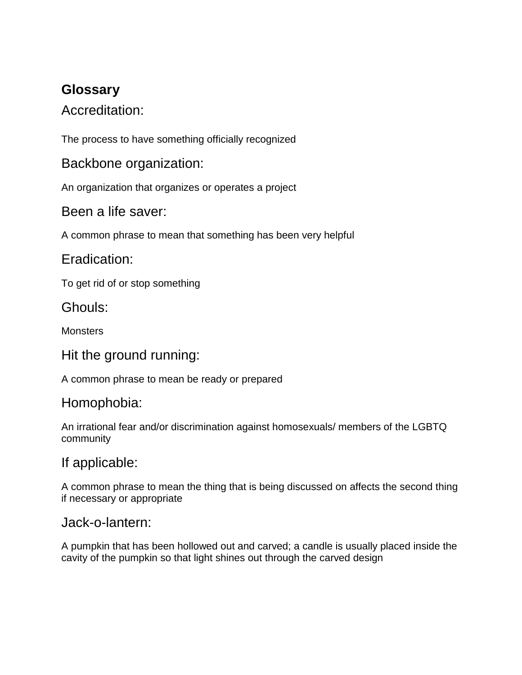## <span id="page-23-0"></span>**Glossary**

### <span id="page-23-1"></span>Accreditation:

The process to have something officially recognized

#### <span id="page-23-2"></span>Backbone organization:

An organization that organizes or operates a project

<span id="page-23-3"></span>Been a life saver:

A common phrase to mean that something has been very helpful

#### <span id="page-23-4"></span>Eradication:

To get rid of or stop something

<span id="page-23-5"></span>Ghouls:

**Monsters** 

<span id="page-23-6"></span>Hit the ground running:

A common phrase to mean be ready or prepared

### <span id="page-23-7"></span>Homophobia:

An irrational fear and/or discrimination against homosexuals/ members of the LGBTQ community

#### <span id="page-23-8"></span>If applicable:

A common phrase to mean the thing that is being discussed on affects the second thing if necessary or appropriate

#### <span id="page-23-9"></span>Jack-o-lantern:

A pumpkin that has been hollowed out and carved; a candle is usually placed inside the cavity of the pumpkin so that light shines out through the carved design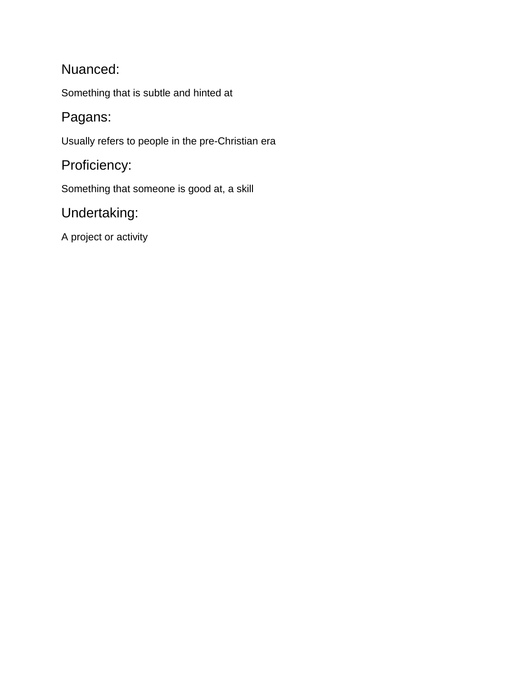# <span id="page-24-0"></span>Nuanced:

Something that is subtle and hinted at

## <span id="page-24-1"></span>Pagans:

Usually refers to people in the pre-Christian era

### <span id="page-24-2"></span>Proficiency:

Something that someone is good at, a skill

# <span id="page-24-3"></span>Undertaking:

A project or activity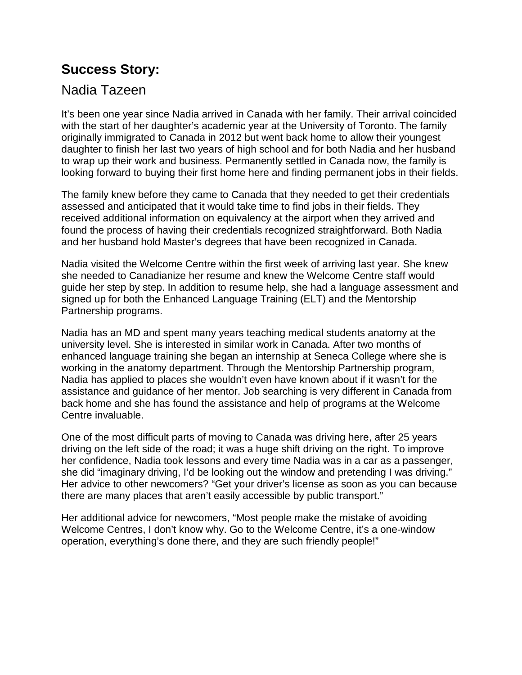# <span id="page-25-0"></span>**Success Story:**

### <span id="page-25-1"></span>Nadia Tazeen

It's been one year since Nadia arrived in Canada with her family. Their arrival coincided with the start of her daughter's academic year at the University of Toronto. The family originally immigrated to Canada in 2012 but went back home to allow their youngest daughter to finish her last two years of high school and for both Nadia and her husband to wrap up their work and business. Permanently settled in Canada now, the family is looking forward to buying their first home here and finding permanent jobs in their fields.

The family knew before they came to Canada that they needed to get their credentials assessed and anticipated that it would take time to find jobs in their fields. They received additional information on equivalency at the airport when they arrived and found the process of having their credentials recognized straightforward. Both Nadia and her husband hold Master's degrees that have been recognized in Canada.

Nadia visited the Welcome Centre within the first week of arriving last year. She knew she needed to Canadianize her resume and knew the Welcome Centre staff would guide her step by step. In addition to resume help, she had a language assessment and signed up for both the Enhanced Language Training (ELT) and the Mentorship Partnership programs.

Nadia has an MD and spent many years teaching medical students anatomy at the university level. She is interested in similar work in Canada. After two months of enhanced language training she began an internship at Seneca College where she is working in the anatomy department. Through the Mentorship Partnership program, Nadia has applied to places she wouldn't even have known about if it wasn't for the assistance and guidance of her mentor. Job searching is very different in Canada from back home and she has found the assistance and help of programs at the Welcome Centre invaluable.

One of the most difficult parts of moving to Canada was driving here, after 25 years driving on the left side of the road; it was a huge shift driving on the right. To improve her confidence, Nadia took lessons and every time Nadia was in a car as a passenger, she did "imaginary driving, I'd be looking out the window and pretending I was driving." Her advice to other newcomers? "Get your driver's license as soon as you can because there are many places that aren't easily accessible by public transport."

Her additional advice for newcomers, "Most people make the mistake of avoiding Welcome Centres, I don't know why. Go to the Welcome Centre, it's a one-window operation, everything's done there, and they are such friendly people!"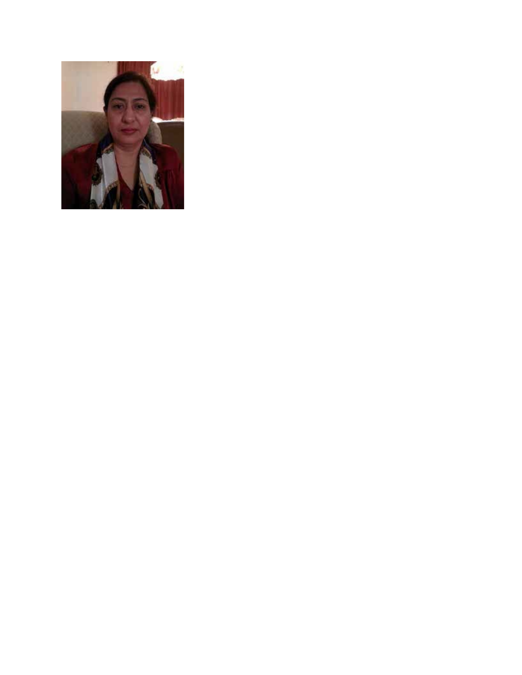